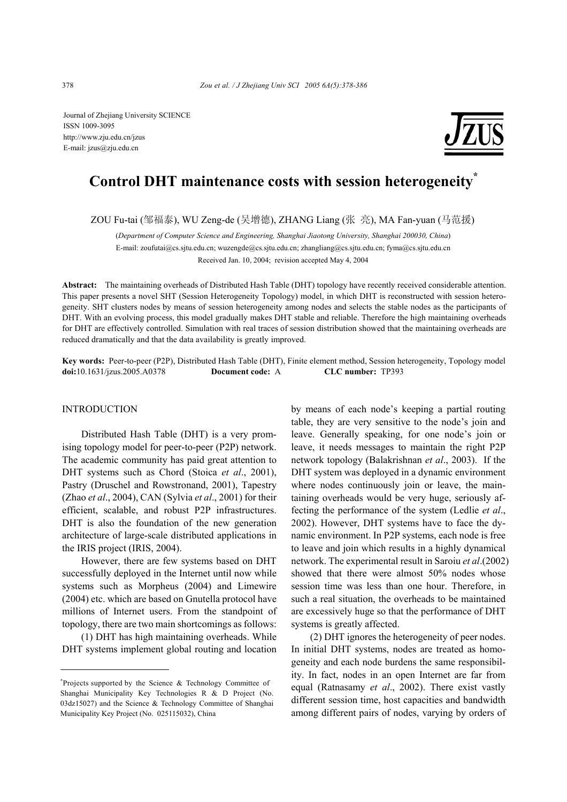Journal of Zhejiang University SCIENCE ISSN 1009-3095 http://www.zju.edu.cn/jzus E-mail: jzus@zju.edu.cn



# **Control DHT maintenance costs with session heterogeneity\***

ZOU Fu-tai (邹福泰), WU Zeng-de (吴增德), ZHANG Liang (张 亮), MA Fan-yuan (马范援)

(*Department of Computer Science and Engineering, Shanghai Jiaotong University, Shanghai 200030, China*) E-mail: zoufutai@cs.sjtu.edu.cn; wuzengde@cs.sjtu.edu.cn; zhangliang@cs.sjtu.edu.cn; fyma@cs.sjtu.edu.cn Received Jan. 10, 2004; revision accepted May 4, 2004

**Abstract:** The maintaining overheads of Distributed Hash Table (DHT) topology have recently received considerable attention. This paper presents a novel SHT (Session Heterogeneity Topology) model, in which DHT is reconstructed with session heterogeneity. SHT clusters nodes by means of session heterogeneity among nodes and selects the stable nodes as the participants of DHT. With an evolving process, this model gradually makes DHT stable and reliable. Therefore the high maintaining overheads for DHT are effectively controlled. Simulation with real traces of session distribution showed that the maintaining overheads are reduced dramatically and that the data availability is greatly improved.

**Key words:** Peer-to-peer (P2P), Distributed Hash Table (DHT), Finite element method, Session heterogeneity, Topology model **doi:**10.1631/jzus.2005.A0378 **Document code:** A **CLC number:** TP393

# INTRODUCTION

Distributed Hash Table (DHT) is a very promising topology model for peer-to-peer (P2P) network. The academic community has paid great attention to DHT systems such as Chord (Stoica *et al*., 2001), Pastry (Druschel and Rowstronand, 2001), Tapestry (Zhao *et al*., 2004), CAN (Sylvia *et al*., 2001) for their efficient, scalable, and robust P2P infrastructures. DHT is also the foundation of the new generation architecture of large-scale distributed applications in the IRIS project (IRIS, 2004).

However, there are few systems based on DHT successfully deployed in the Internet until now while systems such as Morpheus (2004) and Limewire (2004) etc. which are based on Gnutella protocol have millions of Internet users. From the standpoint of topology, there are two main shortcomings as follows:

(1) DHT has high maintaining overheads. While DHT systems implement global routing and location by means of each node's keeping a partial routing table, they are very sensitive to the node's join and leave. Generally speaking, for one node's join or leave, it needs messages to maintain the right P2P network topology (Balakrishnan *et al*., 2003). If the DHT system was deployed in a dynamic environment where nodes continuously join or leave, the maintaining overheads would be very huge, seriously affecting the performance of the system (Ledlie *et al*., 2002). However, DHT systems have to face the dynamic environment. In P2P systems, each node is free to leave and join which results in a highly dynamical network. The experimental result in Saroiu *et al*.(2002) showed that there were almost 50% nodes whose session time was less than one hour. Therefore, in such a real situation, the overheads to be maintained are excessively huge so that the performance of DHT systems is greatly affected.

(2) DHT ignores the heterogeneity of peer nodes. In initial DHT systems, nodes are treated as homogeneity and each node burdens the same responsibility. In fact, nodes in an open Internet are far from equal (Ratnasamy *et al*., 2002). There exist vastly different session time, host capacities and bandwidth among different pairs of nodes, varying by orders of

<sup>\*</sup> Projects supported by the Science & Technology Committee of Shanghai Municipality Key Technologies R & D Project (No. 03dz15027) and the Science & Technology Committee of Shanghai Municipality Key Project (No. 025115032), China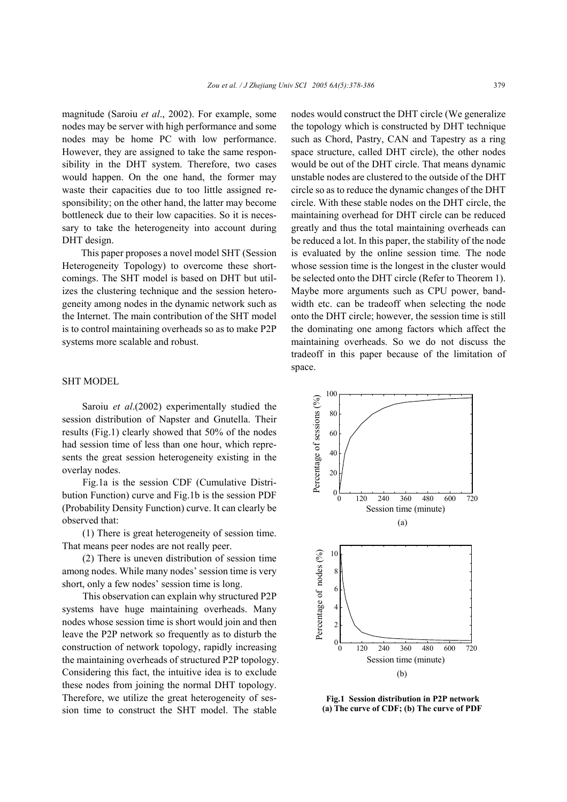magnitude (Saroiu *et al*., 2002). For example, some nodes may be server with high performance and some nodes may be home PC with low performance. However, they are assigned to take the same responsibility in the DHT system. Therefore, two cases would happen. On the one hand, the former may waste their capacities due to too little assigned responsibility; on the other hand, the latter may become bottleneck due to their low capacities. So it is necessary to take the heterogeneity into account during DHT design.

This paper proposes a novel model SHT (Session Heterogeneity Topology) to overcome these shortcomings. The SHT model is based on DHT but utilizes the clustering technique and the session heterogeneity among nodes in the dynamic network such as the Internet. The main contribution of the SHT model is to control maintaining overheads so as to make P2P systems more scalable and robust.

# SHT MODEL

Saroiu *et al*.(2002) experimentally studied the session distribution of Napster and Gnutella. Their results (Fig.1) clearly showed that 50% of the nodes had session time of less than one hour, which represents the great session heterogeneity existing in the overlay nodes.

Fig.1a is the session CDF (Cumulative Distribution Function) curve and Fig.1b is the session PDF (Probability Density Function) curve. It can clearly be observed that:

(1) There is great heterogeneity of session time. That means peer nodes are not really peer.

(2) There is uneven distribution of session time among nodes. While many nodes' session time is very short, only a few nodes' session time is long.

This observation can explain why structured P2P systems have huge maintaining overheads. Many nodes whose session time is short would join and then leave the P2P network so frequently as to disturb the construction of network topology, rapidly increasing the maintaining overheads of structured P2P topology. Considering this fact, the intuitive idea is to exclude these nodes from joining the normal DHT topology. Therefore, we utilize the great heterogeneity of session time to construct the SHT model. The stable

nodes would construct the DHT circle (We generalize the topology which is constructed by DHT technique such as Chord, Pastry, CAN and Tapestry as a ring space structure, called DHT circle), the other nodes would be out of the DHT circle. That means dynamic unstable nodes are clustered to the outside of the DHT circle so as to reduce the dynamic changes of the DHT circle. With these stable nodes on the DHT circle, the maintaining overhead for DHT circle can be reduced greatly and thus the total maintaining overheads can be reduced a lot. In this paper, the stability of the node is evaluated by the online session time*.* The node whose session time is the longest in the cluster would be selected onto the DHT circle (Refer to Theorem 1). Maybe more arguments such as CPU power, bandwidth etc. can be tradeoff when selecting the node onto the DHT circle; however, the session time is still the dominating one among factors which affect the maintaining overheads. So we do not discuss the tradeoff in this paper because of the limitation of space.



**Fig.1 Session distribution in P2P network (a) The curve of CDF; (b) The curve of PDF**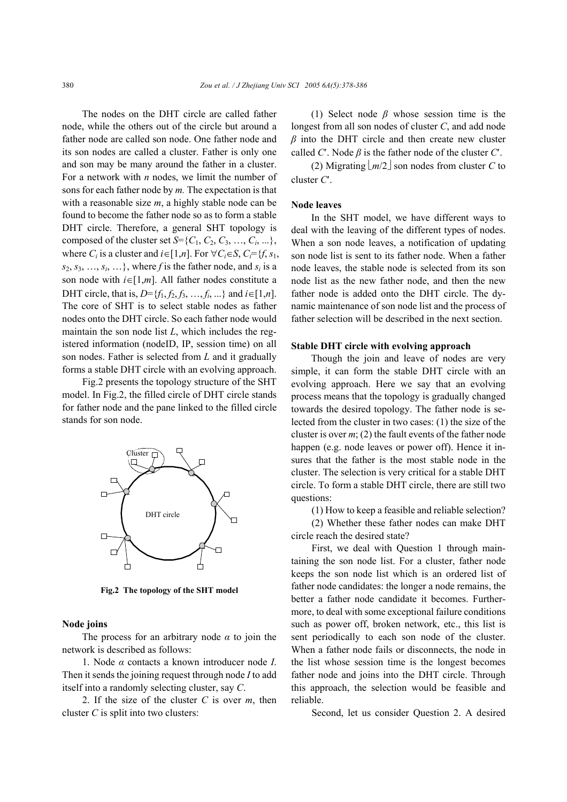The nodes on the DHT circle are called father node, while the others out of the circle but around a father node are called son node. One father node and its son nodes are called a cluster. Father is only one and son may be many around the father in a cluster. For a network with *n* nodes, we limit the number of sons for each father node by *m.* The expectation is that with a reasonable size *m*, a highly stable node can be found to become the father node so as to form a stable DHT circle. Therefore, a general SHT topology is composed of the cluster set  $S = \{C_1, C_2, C_3, ..., C_i, ...\}$ , where *C<sub>i</sub>* is a cluster and  $i \in [1, n]$ . For  $\forall C_i \in S$ ,  $C_i = \{f, s_1, s_2, s_3, s_4, s_5, s_6, s_7, s_8, s_9, s_1, s_2, s_3, s_4, s_6, s_7, s_8, s_9, s_1, s_2, s_4, s_6, s_7, s_8, s_9, s_1, s_2, s_4, s_6, s_7, s_8, s_9, s_1, s_2, s_4, s_6, s_7, s_8, s_1, s_2,$  $s_2, s_3, \ldots, s_i, \ldots$ , where *f* is the father node, and  $s_i$  is a son node with *i*∈[1,*m*]. All father nodes constitute a DHT circle, that is,  $D = \{f_1, f_2, f_3, ..., f_i, ...\}$  and  $i \in [1, n]$ . The core of SHT is to select stable nodes as father nodes onto the DHT circle. So each father node would maintain the son node list *L*, which includes the registered information (nodeID, IP, session time) on all son nodes. Father is selected from *L* and it gradually forms a stable DHT circle with an evolving approach.

Fig.2 presents the topology structure of the SHT model. In Fig.2, the filled circle of DHT circle stands for father node and the pane linked to the filled circle stands for son node.



**Fig.2 The topology of the SHT model**

## **Node joins**

The process for an arbitrary node  $\alpha$  to join the network is described as follows:

1. Node *α* contacts a known introducer node *I*. Then it sends the joining request through node *I* to add itself into a randomly selecting cluster, say *C*.

2. If the size of the cluster *C* is over *m*, then cluster *C* is split into two clusters:

(1) Select node *β* whose session time is the longest from all son nodes of cluster *C*, and add node *β* into the DHT circle and then create new cluster called *C'*. Node  $\beta$  is the father node of the cluster *C'*.

(2) Migrating  $\lfloor m/2 \rfloor$  son nodes from cluster *C* to cluster *C*′.

#### **Node leaves**

In the SHT model, we have different ways to deal with the leaving of the different types of nodes. When a son node leaves, a notification of updating son node list is sent to its father node. When a father node leaves, the stable node is selected from its son node list as the new father node, and then the new father node is added onto the DHT circle. The dynamic maintenance of son node list and the process of father selection will be described in the next section.

#### **Stable DHT circle with evolving approach**

Though the join and leave of nodes are very simple, it can form the stable DHT circle with an evolving approach. Here we say that an evolving process means that the topology is gradually changed towards the desired topology. The father node is selected from the cluster in two cases: (1) the size of the cluster is over *m*; (2) the fault events of the father node happen (e.g. node leaves or power off). Hence it insures that the father is the most stable node in the cluster. The selection is very critical for a stable DHT circle. To form a stable DHT circle, there are still two questions:

(1) How to keep a feasible and reliable selection?

(2) Whether these father nodes can make DHT circle reach the desired state?

First, we deal with Question 1 through maintaining the son node list. For a cluster, father node keeps the son node list which is an ordered list of father node candidates: the longer a node remains, the better a father node candidate it becomes. Furthermore, to deal with some exceptional failure conditions such as power off, broken network, etc., this list is sent periodically to each son node of the cluster. When a father node fails or disconnects, the node in the list whose session time is the longest becomes father node and joins into the DHT circle. Through this approach, the selection would be feasible and reliable.

Second, let us consider Question 2. A desired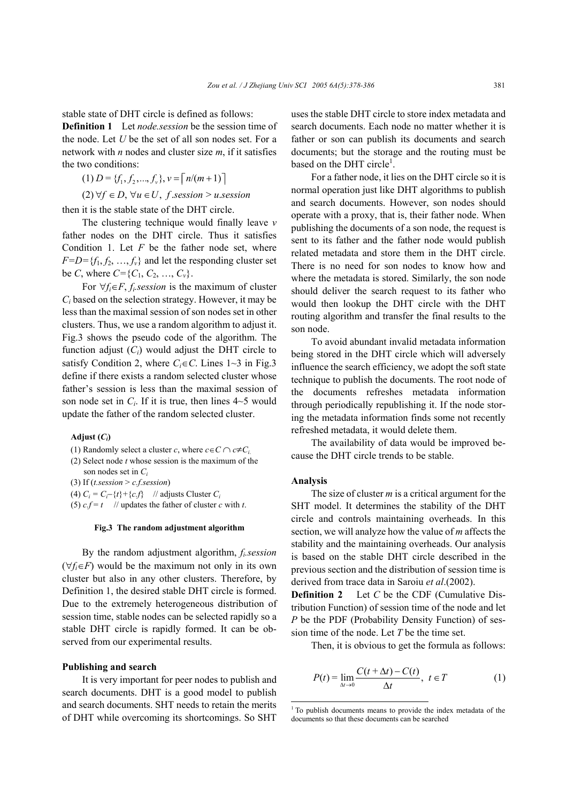stable state of DHT circle is defined as follows:

**Definition 1** Let *node.session* be the session time of the node. Let *U* be the set of all son nodes set. For a network with *n* nodes and cluster size *m*, if it satisfies the two conditions:

(1) 
$$
D = \{f_1, f_2, ..., f_v\}, v = \lceil n/(m+1) \rceil
$$
  
(2)  $\forall f \in D, \forall u \in U, f$  .*session* > *u*.*session*

then it is the stable state of the DHT circle.

The clustering technique would finally leave *v* father nodes on the DHT circle. Thus it satisfies Condition 1. Let *F* be the father node set, where  $F=D=\{f_1, f_2, \ldots, f_v\}$  and let the responding cluster set be *C*, where  $C = \{C_1, C_2, ..., C_v\}$ .

For  $\forall f_i \in F$ , *f<sub>i</sub>* session is the maximum of cluster *Ci* based on the selection strategy. However, it may be less than the maximal session of son nodes set in other clusters. Thus, we use a random algorithm to adjust it. Fig.3 shows the pseudo code of the algorithm. The function adjust  $(C_i)$  would adjust the DHT circle to satisfy Condition 2, where  $C_i \in \mathbb{C}$ . Lines  $1 \sim 3$  in Fig.3 define if there exists a random selected cluster whose father's session is less than the maximal session of son node set in  $C_i$ . If it is true, then lines  $4 \sim 5$  would update the father of the random selected cluster.

# Adjust  $(C_i)$

- (1) Randomly select a cluster *c*, where  $c \in C \cap c \neq C_i$ .
- (2) Select node *t* whose session is the maximum of the son nodes set in *Ci*
- (3) If (*t.session* > *c.f.session*)

(4)  $C_i = C_i - \{t\} + \{c.f\}$  // adjusts Cluster  $C_i$ 

(5)  $cf = t$  // updates the father of cluster *c* with *t*.

#### **Fig.3 The random adjustment algorithm**

By the random adjustment algorithm, *fi.session*   $(\forall f_i \in F)$  would be the maximum not only in its own cluster but also in any other clusters. Therefore, by Definition 1, the desired stable DHT circle is formed. Due to the extremely heterogeneous distribution of session time, stable nodes can be selected rapidly so a stable DHT circle is rapidly formed. It can be observed from our experimental results.

#### **Publishing and search**

It is very important for peer nodes to publish and search documents. DHT is a good model to publish and search documents. SHT needs to retain the merits of DHT while overcoming its shortcomings. So SHT uses the stable DHT circle to store index metadata and search documents. Each node no matter whether it is father or son can publish its documents and search documents; but the storage and the routing must be based on the DHT circle<sup>1</sup>.

For a father node, it lies on the DHT circle so it is normal operation just like DHT algorithms to publish and search documents. However, son nodes should operate with a proxy, that is, their father node. When publishing the documents of a son node, the request is sent to its father and the father node would publish related metadata and store them in the DHT circle. There is no need for son nodes to know how and where the metadata is stored. Similarly, the son node should deliver the search request to its father who would then lookup the DHT circle with the DHT routing algorithm and transfer the final results to the son node.

To avoid abundant invalid metadata information being stored in the DHT circle which will adversely influence the search efficiency, we adopt the soft state technique to publish the documents. The root node of the documents refreshes metadata information through periodically republishing it. If the node storing the metadata information finds some not recently refreshed metadata, it would delete them.

The availability of data would be improved because the DHT circle trends to be stable.

#### **Analysis**

 $\overline{a}$ 

The size of cluster *m* is a critical argument for the SHT model. It determines the stability of the DHT circle and controls maintaining overheads. In this section, we will analyze how the value of *m* affects the stability and the maintaining overheads. Our analysis is based on the stable DHT circle described in the previous section and the distribution of session time is derived from trace data in Saroiu *et al*.(2002).

**Definition 2** Let *C* be the CDF (Cumulative Distribution Function) of session time of the node and let *P* be the PDF (Probability Density Function) of session time of the node. Let *T* be the time set.

Then, it is obvious to get the formula as follows:

$$
P(t) = \lim_{\Delta t \to 0} \frac{C(t + \Delta t) - C(t)}{\Delta t}, \ t \in T
$$
 (1)

<sup>&</sup>lt;sup>1</sup> To publish documents means to provide the index metadata of the documents so that these documents can be searched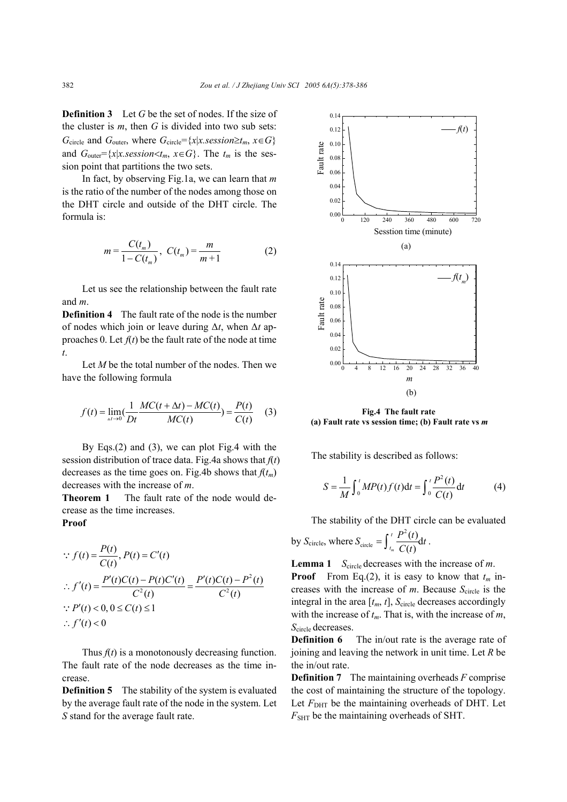**Definition 3** Let G be the set of nodes. If the size of the cluster is *m*, then *G* is divided into two sub sets: *G*<sub>circle</sub> and *G*<sub>outer</sub>, where  $G$ <sub>circle</sub>={*x*|*x.session≥t<sub>m</sub>*, *x*∈*G*} and  $G_{\text{outer}} = \{x | x \text{.} \text{session} < t_m, x \in G\}$ . The  $t_m$  is the session point that partitions the two sets.

In fact, by observing Fig.1a, we can learn that *m* is the ratio of the number of the nodes among those on the DHT circle and outside of the DHT circle. The formula is:

$$
m = \frac{C(t_m)}{1 - C(t_m)}, \ C(t_m) = \frac{m}{m+1}
$$
 (2)

Let us see the relationship between the fault rate and *m*.

**Definition 4** The fault rate of the node is the number of nodes which join or leave during ∆*t*, when ∆*t* approaches 0. Let  $f(t)$  be the fault rate of the node at time *t*.

Let *M* be the total number of the nodes. Then we have the following formula

$$
f(t) = \lim_{\Delta t \to 0} \frac{1}{Dt} \frac{MC(t + \Delta t) - MC(t)}{MC(t)} = \frac{P(t)}{C(t)} \quad (3)
$$

By Eqs.(2) and (3), we can plot Fig.4 with the session distribution of trace data. Fig.4a shows that *f*(*t*) decreases as the time goes on. Fig.4b shows that  $f(t_m)$ decreases with the increase of *m*.

**Theorem 1** The fault rate of the node would decrease as the time increases.

**Proof** 

$$
\therefore f(t) = \frac{P(t)}{C(t)}, P(t) = C'(t)
$$
\n
$$
\therefore f'(t) = \frac{P'(t)C(t) - P(t)C'(t)}{C^2(t)} = \frac{P'(t)C(t) - P^2(t)}{C^2(t)}
$$
\n
$$
\therefore P'(t) < 0, 0 \le C(t) \le 1
$$
\n
$$
\therefore f'(t) < 0
$$

Thus  $f(t)$  is a monotonously decreasing function. The fault rate of the node decreases as the time increase.

**Definition 5** The stability of the system is evaluated by the average fault rate of the node in the system. Let *S* stand for the average fault rate.



**Fig.4 The fault rate (a) Fault rate vs session time; (b) Fault rate vs** *m*

The stability is described as follows:

$$
S = \frac{1}{M} \int_0^t MP(t) f(t) dt = \int_0^t \frac{P^2(t)}{C(t)} dt
$$
 (4)

The stability of the DHT circle can be evaluated

by 
$$
S_{\text{circle}}
$$
, where  $S_{\text{circle}} = \int_{t_m}^{t} \frac{P^2(t)}{C(t)} dt$ .

Lemma 1 *S*<sub>circle</sub> decreases with the increase of *m*.

**Proof** From Eq.(2), it is easy to know that  $t_m$  increases with the increase of  $m$ . Because  $S_{\text{circle}}$  is the integral in the area  $[t_m, t]$ ,  $S_{\text{circle}}$  decreases accordingly with the increase of *tm*. That is, with the increase of *m*, *S*circle decreases.

**Definition 6** The in/out rate is the average rate of joining and leaving the network in unit time. Let *R* be the in/out rate.

**Definition 7** The maintaining overheads *F* comprise the cost of maintaining the structure of the topology. Let  $F_{\text{DHT}}$  be the maintaining overheads of DHT. Let  $F_{\text{SHT}}$  be the maintaining overheads of SHT.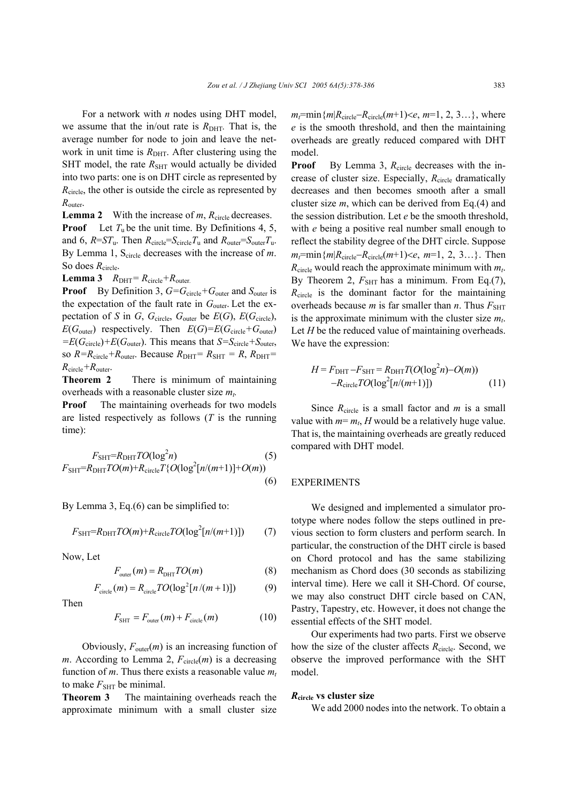For a network with *n* nodes using DHT model, we assume that the in/out rate is  $R_{\text{DHT}}$ . That is, the average number for node to join and leave the network in unit time is  $R<sub>DHT</sub>$ . After clustering using the SHT model, the rate  $R_{\text{SHT}}$  would actually be divided into two parts: one is on DHT circle as represented by *R*<sub>circle</sub>, the other is outside the circle as represented by *R*outer.

**Lemma 2** With the increase of  $m$ ,  $R_{\text{circle}}$  decreases. **Proof** Let  $T_u$  be the unit time. By Definitions 4, 5, and 6,  $R = ST_u$ . Then  $R_{\text{circle}} = S_{\text{circle}}T_u$  and  $R_{\text{outer}} = S_{\text{outer}}T_u$ . By Lemma 1, S<sub>circle</sub> decreases with the increase of *m*. So does  $R_{\text{circle}}$ .

**Lemma 3**  $R_{\text{DHT}} = R_{\text{circle}} + R_{\text{outer}}$ .

**Proof** By Definition 3,  $G = G$ <sub>circle</sub> +  $G$ <sub>outer</sub> and  $S$ <sub>outer</sub> is the expectation of the fault rate in  $G_{\text{outer}}$ . Let the expectation of *S* in *G*,  $G_{\text{circle}}$ ,  $G_{\text{outer}}$  be  $E(G)$ ,  $E(G_{\text{circle}})$ ,  $E(G_{\text{outer}})$  respectively. Then  $E(G) = E(G_{\text{circle}} + G_{\text{outer}})$  $=E(G_{\text{circle}}) + E(G_{\text{outer}})$ . This means that  $S=S_{\text{circle}}+S_{\text{outer}}$ , so  $R=R_{\text{circle}}+R_{\text{outer}}$ . Because  $R_{\text{DHT}}=R_{\text{SHT}}=R$ ,  $R_{\text{DHT}}=$ *R*circle*+R*outer.

**Theorem 2** There is minimum of maintaining overheads with a reasonable cluster size  $m_t$ .

**Proof** The maintaining overheads for two models are listed respectively as follows (*T* is the running time):

$$
F_{\text{SHT}} = R_{\text{DHT}} TO(\log^2 n)
$$
\n
$$
F_{\text{SHT}} = R_{\text{DHT}} TO(m) + R_{\text{circle}} T \{O(\log^2[n/(m+1)] + O(m))
$$
\n(6)

By Lemma 3, Eq.(6) can be simplified to:

$$
F_{\text{SHT}} = R_{\text{DHT}} TO(m) + R_{\text{circle}} TO(\log^2[n/(m+1)]) \tag{7}
$$

Now, Let

$$
F_{\text{outer}}(m) = R_{\text{DHT}} TO(m) \tag{8}
$$

$$
F_{\text{circle}}(m) = R_{\text{circle}} T O(\log^2[n/(m+1)]) \tag{9}
$$

Then

$$
F_{\text{SHT}} = F_{\text{outer}}(m) + F_{\text{circle}}(m) \tag{10}
$$

Obviously,  $F_{\text{outer}}(m)$  is an increasing function of *m*. According to Lemma 2,  $F_{\text{circle}}(m)$  is a decreasing function of  $m$ . Thus there exists a reasonable value  $m_t$ to make  $F_{\text{SHT}}$  be minimal.

**Theorem 3** The maintaining overheads reach the approximate minimum with a small cluster size  $m_t$ =min{ $m$ | $R_{\text{circle}}$ – $R_{\text{circle}}$ ( $m+1$ )<*e*,  $m=1, 2, 3...$ }, where *e* is the smooth threshold, and then the maintaining overheads are greatly reduced compared with DHT model.

**Proof** By Lemma 3,  $R_{\text{circle}}$  decreases with the increase of cluster size. Especially, *R*circle dramatically decreases and then becomes smooth after a small cluster size *m*, which can be derived from Eq.(4) and the session distribution. Let *e* be the smooth threshold, with *e* being a positive real number small enough to reflect the stability degree of the DHT circle. Suppose  $m_t$ =min{ $m | R_{\text{circle}} - R_{\text{circle}}(m+1) < e, m=1, 2, 3...$ }. Then  $R_{\text{circle}}$  would reach the approximate minimum with  $m_t$ . By Theorem 2,  $F_{\text{SHT}}$  has a minimum. From Eq.(7), *R*<sub>circle</sub> is the dominant factor for the maintaining overheads because  $m$  is far smaller than  $n$ . Thus  $F_{\text{SHT}}$ is the approximate minimum with the cluster size  $m_t$ . Let *H* be the reduced value of maintaining overheads. We have the expression:

$$
H = FDHT - FSHT = RDHTT(O(log2n) - O(m))
$$
  
-R<sub>circle</sub>TO(log<sup>2</sup>[n/(m+1)]) (11)

Since *R*circle is a small factor and *m* is a small value with  $m=m<sub>t</sub>$ , *H* would be a relatively huge value. That is, the maintaining overheads are greatly reduced compared with DHT model.

#### EXPERIMENTS

We designed and implemented a simulator prototype where nodes follow the steps outlined in previous section to form clusters and perform search. In particular, the construction of the DHT circle is based on Chord protocol and has the same stabilizing mechanism as Chord does (30 seconds as stabilizing interval time). Here we call it SH-Chord. Of course, we may also construct DHT circle based on CAN, Pastry, Tapestry, etc. However, it does not change the essential effects of the SHT model.

Our experiments had two parts. First we observe how the size of the cluster affects *R*<sub>circle</sub>. Second, we observe the improved performance with the SHT model.

## *R***circle vs cluster size**

We add 2000 nodes into the network. To obtain a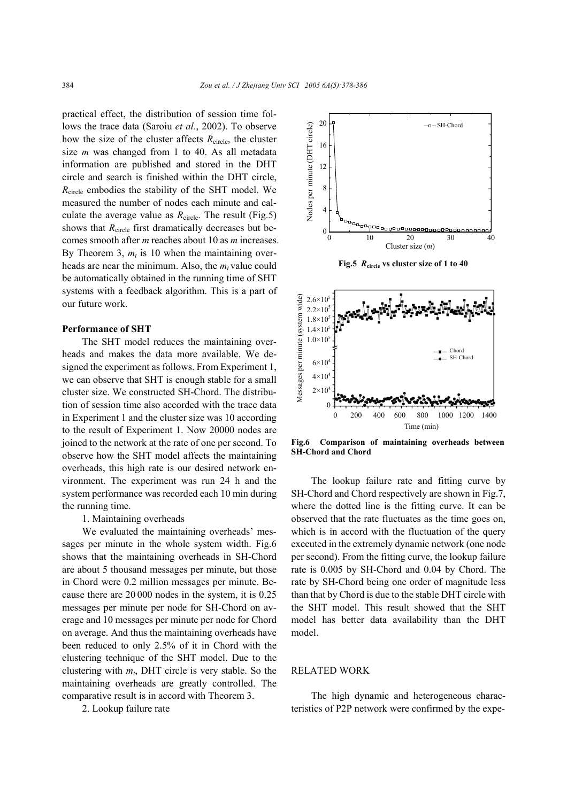practical effect, the distribution of session time follows the trace data (Saroiu *et al*., 2002). To observe how the size of the cluster affects  $R_{\text{circle}}$ , the cluster size *m* was changed from 1 to 40. As all metadata information are published and stored in the DHT circle and search is finished within the DHT circle, *R*circle embodies the stability of the SHT model. We measured the number of nodes each minute and calculate the average value as  $R_{\text{circle}}$ . The result (Fig.5) shows that *R*<sub>circle</sub> first dramatically decreases but becomes smooth after *m* reaches about 10 as *m* increases. By Theorem 3,  $m_t$  is 10 when the maintaining overheads are near the minimum. Also, the  $m_t$  value could be automatically obtained in the running time of SHT systems with a feedback algorithm. This is a part of our future work.

## **Performance of SHT**

The SHT model reduces the maintaining overheads and makes the data more available. We designed the experiment as follows. From Experiment 1, we can observe that SHT is enough stable for a small cluster size. We constructed SH-Chord. The distribution of session time also accorded with the trace data in Experiment 1 and the cluster size was 10 according to the result of Experiment 1. Now 20000 nodes are joined to the network at the rate of one per second. To observe how the SHT model affects the maintaining overheads, this high rate is our desired network environment. The experiment was run 24 h and the system performance was recorded each 10 min during the running time.

1. Maintaining overheads

We evaluated the maintaining overheads' messages per minute in the whole system width. Fig.6 shows that the maintaining overheads in SH-Chord are about 5 thousand messages per minute, but those in Chord were 0.2 million messages per minute. Because there are 20 000 nodes in the system, it is 0.25 messages per minute per node for SH-Chord on average and 10 messages per minute per node for Chord on average. And thus the maintaining overheads have been reduced to only 2.5% of it in Chord with the clustering technique of the SHT model. Due to the clustering with  $m_t$ , DHT circle is very stable. So the maintaining overheads are greatly controlled. The comparative result is in accord with Theorem 3.

2. Lookup failure rate





**Fig.6 Comparison of maintaining overheads between SH-Chord and Chord**

The lookup failure rate and fitting curve by SH-Chord and Chord respectively are shown in Fig.7, where the dotted line is the fitting curve. It can be observed that the rate fluctuates as the time goes on, which is in accord with the fluctuation of the query executed in the extremely dynamic network (one node per second). From the fitting curve, the lookup failure rate is 0.005 by SH-Chord and 0.04 by Chord. The rate by SH-Chord being one order of magnitude less than that by Chord is due to the stable DHT circle with the SHT model. This result showed that the SHT model has better data availability than the DHT model.

# RELATED WORK

The high dynamic and heterogeneous characteristics of P2P network were confirmed by the expe-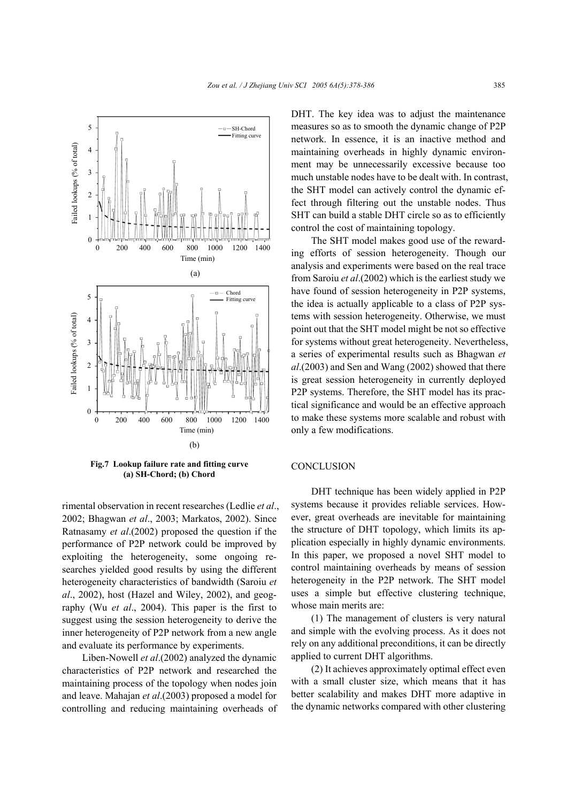

**Fig.7 Lookup failure rate and fitting curve (a) SH-Chord; (b) Chord**

rimental observation in recent researches (Ledlie *et al*., 2002; Bhagwan *et al*., 2003; Markatos, 2002). Since Ratnasamy *et al*.(2002) proposed the question if the performance of P2P network could be improved by exploiting the heterogeneity, some ongoing researches yielded good results by using the different heterogeneity characteristics of bandwidth (Saroiu *et al*., 2002), host (Hazel and Wiley, 2002), and geography (Wu *et al*., 2004). This paper is the first to suggest using the session heterogeneity to derive the inner heterogeneity of P2P network from a new angle and evaluate its performance by experiments.

Liben-Nowell *et al*.(2002) analyzed the dynamic characteristics of P2P network and researched the maintaining process of the topology when nodes join and leave. Mahajan *et al*.(2003) proposed a model for controlling and reducing maintaining overheads of DHT. The key idea was to adjust the maintenance measures so as to smooth the dynamic change of P2P network. In essence, it is an inactive method and maintaining overheads in highly dynamic environment may be unnecessarily excessive because too much unstable nodes have to be dealt with. In contrast, the SHT model can actively control the dynamic effect through filtering out the unstable nodes. Thus SHT can build a stable DHT circle so as to efficiently control the cost of maintaining topology.

The SHT model makes good use of the rewarding efforts of session heterogeneity. Though our analysis and experiments were based on the real trace from Saroiu *et al*.(2002) which is the earliest study we have found of session heterogeneity in P2P systems, the idea is actually applicable to a class of P2P systems with session heterogeneity. Otherwise, we must point out that the SHT model might be not so effective for systems without great heterogeneity. Nevertheless, a series of experimental results such as Bhagwan *et al*.(2003) and Sen and Wang (2002) showed that there is great session heterogeneity in currently deployed P2P systems. Therefore, the SHT model has its practical significance and would be an effective approach to make these systems more scalable and robust with only a few modifications.

# **CONCLUSION**

DHT technique has been widely applied in P2P systems because it provides reliable services. However, great overheads are inevitable for maintaining the structure of DHT topology, which limits its application especially in highly dynamic environments. In this paper, we proposed a novel SHT model to control maintaining overheads by means of session heterogeneity in the P2P network. The SHT model uses a simple but effective clustering technique, whose main merits are:

(1) The management of clusters is very natural and simple with the evolving process. As it does not rely on any additional preconditions, it can be directly applied to current DHT algorithms.

(2) It achieves approximately optimal effect even with a small cluster size, which means that it has better scalability and makes DHT more adaptive in the dynamic networks compared with other clustering